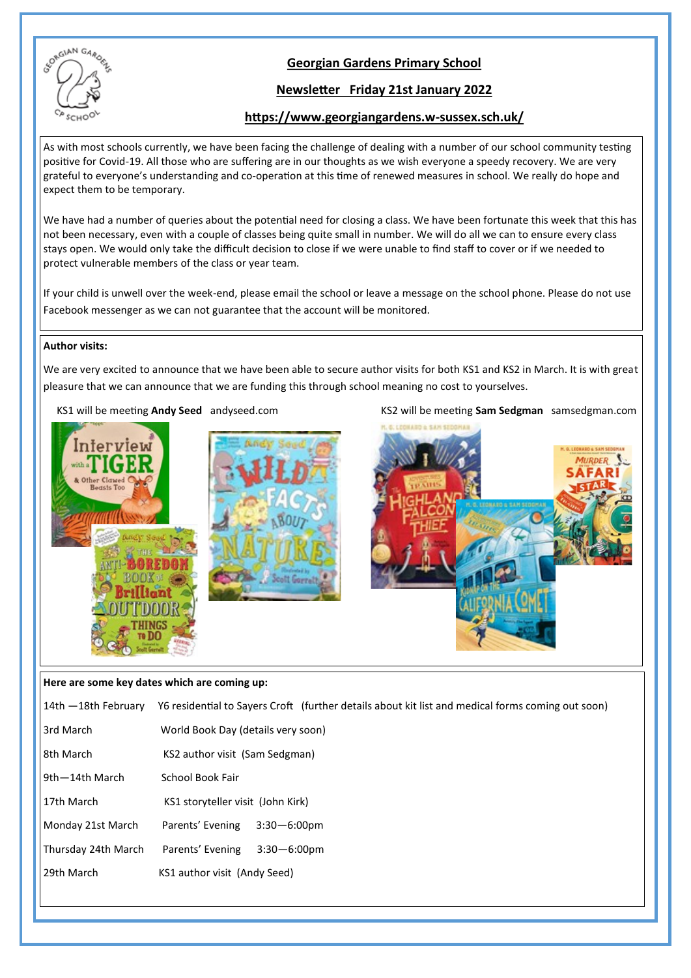

# **Georgian Gardens Primary School**

# **Newsletter Friday 21st January 2022**

## **https://www.georgiangardens.w-sussex.sch.uk/**

As with most schools currently, we have been facing the challenge of dealing with a number of our school community testing positive for Covid-19. All those who are suffering are in our thoughts as we wish everyone a speedy recovery. We are very grateful to everyone's understanding and co-operation at this time of renewed measures in school. We really do hope and expect them to be temporary.

We have had a number of queries about the potential need for closing a class. We have been fortunate this week that this has not been necessary, even with a couple of classes being quite small in number. We will do all we can to ensure every class stays open. We would only take the difficult decision to close if we were unable to find staff to cover or if we needed to protect vulnerable members of the class or year team.

If your child is unwell over the week-end, please email the school or leave a message on the school phone. Please do not use Facebook messenger as we can not guarantee that the account will be monitored.

#### **Author visits:**

We are very excited to announce that we have been able to secure author visits for both KS1 and KS2 in March. It is with great pleasure that we can announce that we are funding this through school meaning no cost to yourselves.

KS1 will be meeting Andy Seed andyseed.com KS2 will be meeting Sam Sedgman samsedgman.com



### **Here are some key dates which are coming up:**

| 14th —18th February | Y6 residential to Sayers Croft (further details about kit list and medical forms coming out soon) |  |  |  |  |
|---------------------|---------------------------------------------------------------------------------------------------|--|--|--|--|
| 3rd March           | World Book Day (details very soon)                                                                |  |  |  |  |
| 8th March           | KS2 author visit (Sam Sedgman)                                                                    |  |  |  |  |
| ∣9th—14th March     | School Book Fair                                                                                  |  |  |  |  |
| 17th March          | KS1 storyteller visit (John Kirk)                                                                 |  |  |  |  |
| Monday 21st March   | Parents' Evening<br>$3:30 - 6:00$ pm                                                              |  |  |  |  |
| Thursday 24th March | Parents' Evening<br>$3:30 - 6:00$ pm                                                              |  |  |  |  |
| 29th March          | KS1 author visit (Andy Seed)                                                                      |  |  |  |  |
|                     |                                                                                                   |  |  |  |  |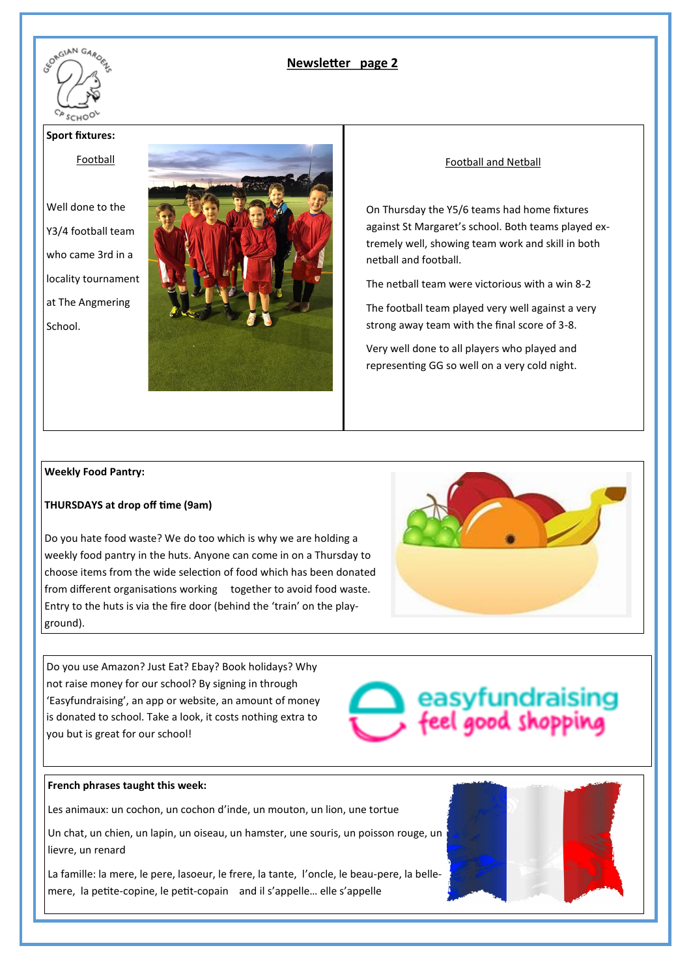

# **Newsletter page 2**

#### **Sport fixtures:**

Football

Well done to the Y3/4 football team who came 3rd in a locality tournament at The Angmering School.



#### Football and Netball

On Thursday the Y5/6 teams had home fixtures against St Margaret's school. Both teams played extremely well, showing team work and skill in both netball and football.

The netball team were victorious with a win 8-2

The football team played very well against a very strong away team with the final score of 3-8.

Very well done to all players who played and representing GG so well on a very cold night.

#### **Weekly Food Pantry:**

#### **THURSDAYS at drop off time (9am)**

Do you hate food waste? We do too which is why we are holding a weekly food pantry in the huts. Anyone can come in on a Thursday to choose items from the wide selection of food which has been donated from different organisations working together to avoid food waste. Entry to the huts is via the fire door (behind the 'train' on the playground).

easyfundraising<br>feel good shopping

Do you use Amazon? Just Eat? Ebay? Book holidays? Why not raise money for our school? By signing in through 'Easyfundraising', an app or website, an amount of money is donated to school. Take a look, it costs nothing extra to you but is great for our school!



Les animaux: un cochon, un cochon d'inde, un mouton, un lion, une tortue

Un chat, un chien, un lapin, un oiseau, un hamster, une souris, un poisson rouge, un lievre, un renard

La famille: la mere, le pere, lasoeur, le frere, la tante, l'oncle, le beau-pere, la bellemere, la petite-copine, le petit-copain and il s'appelle… elle s'appelle